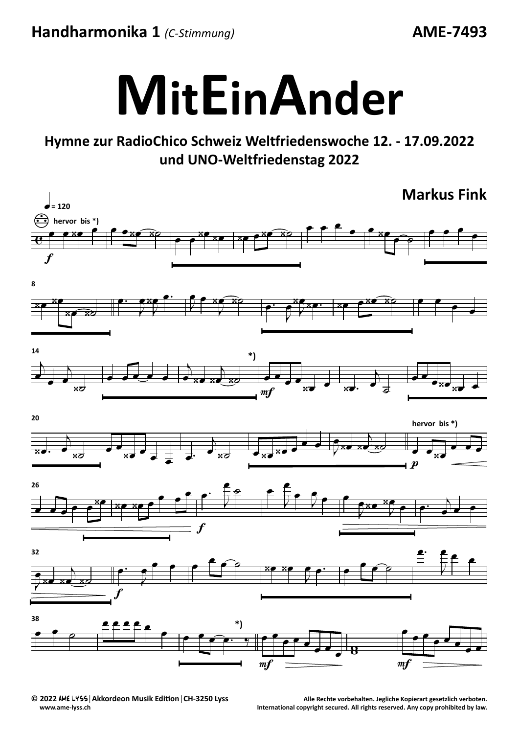Handharmonika 1 (C-Stimmung)

**AME-7493** 



## Hymne zur RadioChico Schweiz Weltfriedenswoche 12. - 17.09.2022 und UNO-Weltfriedenstag 2022



C 2022 AME LYSS | Akkordeon Musik Edition | CH-3250 Lyss www.ame-lyss.ch

Alle Rechte vorbehalten. Jegliche Kopierart gesetzlich verboten. International copyright secured. All rights reserved. Any copy prohibited by law.